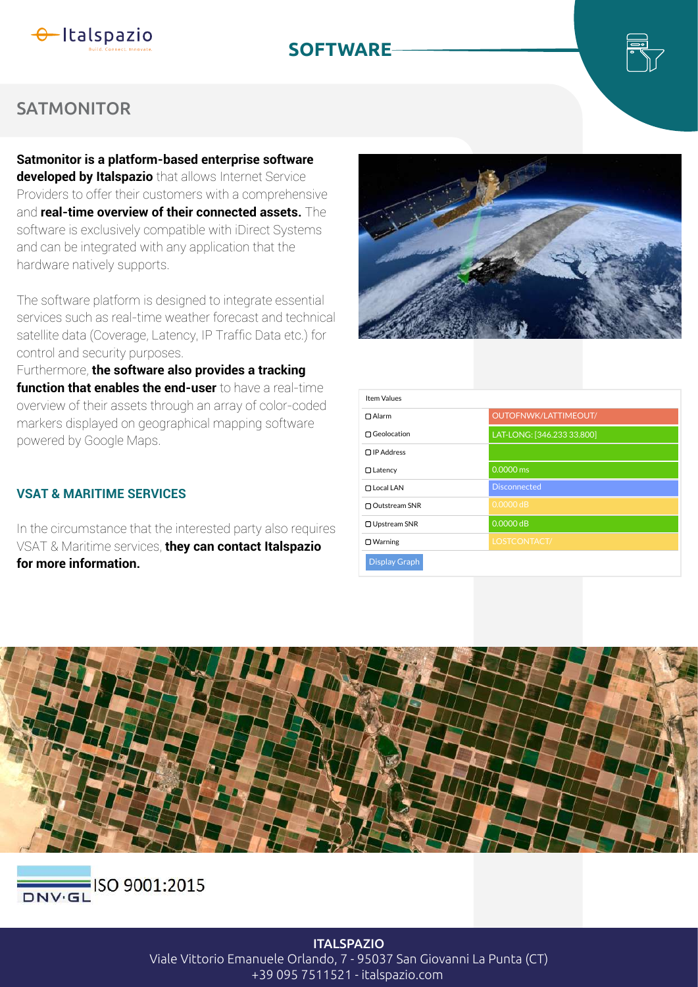

# **SOFTWARE**



## **SATMONITOR**

**Satmonitor is a platform-based enterprise software developed by Italspazio** that allows Internet Service Providers to offer their customers with a comprehensive and **real-time overview of their connected assets.** The software is exclusively compatible with iDirect Systems and can be integrated with any application that the hardware natively supports.

The software platform is designed to integrate essential services such as real-time weather forecast and technical satellite data (Coverage, Latency, IP Traffic Data etc.) for control and security purposes.

Furthermore, **the software also provides a tracking function that enables the end-user** to have a real-time overview of their assets through an array of color-coded markers displayed on geographical mapping software powered by Google Maps.

### **VSAT & MARITIME SERVICES**

In the circumstance that the interested party also requires VSAT & Maritime services, **they can contact Italspazio for more information.** 



| <b>Item Values</b>   |                            |
|----------------------|----------------------------|
| $\Box$ Alarm         | OUTOFNWK/LATTIMEOUT/       |
| □ Geolocation        | LAT-LONG: [346.233 33.800] |
| $\Box$ IP Address    |                            |
| $\Box$ Latency       | 0.0000 ms                  |
| □ Local LAN          | <b>Disconnected</b>        |
| □ Outstream SNR      | $0.0000$ dB                |
| □ Upstream SNR       | $0.0000$ dB                |
| $\Box$ Warning       | LOSTCONTACT/               |
| <b>Display Graph</b> |                            |





**ITALSPAZIO** Viale Vittorio Emanuele Orlando, 7 - 95037 San Giovanni La Punta (CT) +39 095 7511521 - italspazio.com